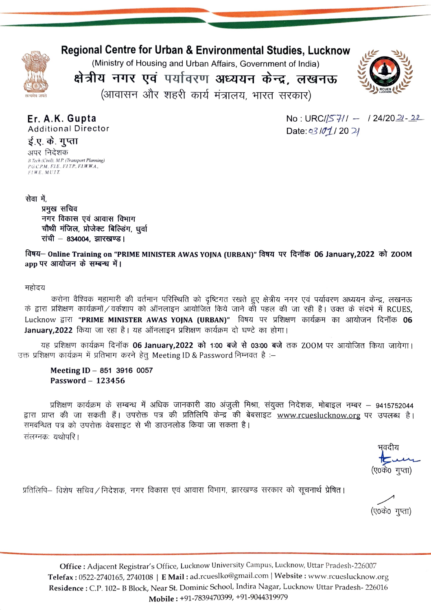

## **Regional Centre for Urban & Environmental Studies, Lucknow**

(Ministry of Housing and Urban Affairs, Government of India)

क्षेत्रीय नगर एवं पर्यावरण अध्ययन केन्द्र, लखनऊ

(आवासन और शहरी कार्य मंत्रालय, भारत सरकार)



Er. A.K. Gupta **Additional Director**  No: URC/ $/57/1 - 124/2021 - 22$ Date: 03/01/2021

ई.ए. के. गुप्ता अपर निदेशक B.Tech (Civil), M.P. (Transport Planning)<br>P.G.C.P.M., F.L.E., F.L.T.P., F.L.W.W.A.,  $FLWE$ ,  $MULT$ .

सेवा में,

प्रमुख सचिव नगर विकास एवं आवास विभाग चौथी मंजिल, प्रोजेक्ट बिल्डिंग, धुर्वा रांची - 834004, झारखण्ड।

विषय– Online Training on "PRIME MINISTER AWAS YOJNA (URBAN)" विषय पर दिनॉक 06 January,2022 को ZOOM app पर आयोजन के सम्बन्ध में।

## महोदय

करोना वैश्विक महामारी की वर्तमान परिस्थिति को दृष्टिगत रखते हुए क्षेत्रीय नगर एवं पर्यावरण अध्ययन केन्द्र, लखनऊ के द्वारा प्रशिक्षण कार्यक्रमों / वर्कशाप को ऑनलाइन आयोजित किये जाने की पहल की जा रही है। उक्त के संदर्भ में RCUES, Lucknow द्वारा "PRIME MINISTER AWAS YOJNA (URBAN)" विषय पर प्रशिक्षण कार्यक्रम का आयोजन दिनॉक 06 January,2022 किया जा रहा है। यह ऑनलाइन प्रशिक्षण कार्यक्रम दो घण्टे का होगा।

यह प्रशिक्षण कार्यक्रम दिनॉक 06 January,2022 को 1:00 बजे से 03:00 बजे तक ZOOM पर आयोजित किया जायेगा। उक्त प्रशिक्षण कार्यक्रम में प्रतिभाग करने हेतू Meeting ID & Password निम्नवत है :–

Meeting ID - 851 3916 0057 Password - 123456

प्रशिक्षण कार्यक्रम के सम्बन्ध में अधिक जानकारी डा0 अंजुली मिश्रा, संयुक्त निदेशक, मोबाइल नम्बर – 9415752044 द्वारा प्राप्त की जा सकती हैं। उपरोक्त पत्र की प्रतिलिपि केन्द्र की बेबसाइट <u>www.rcueslucknow.org</u> पर उपलब्ध है। समवन्धित पत्र को उपरोक्त वेबसाइट से भी डाउनलोड किया जा सकता है। संलग्नकः यथोपरि ।

भवदीय (ए०के० गुप्ता)

प्रतिलिपि— विशेष सचिव ⁄ निदेशक, नगर विकास एवं आवास विभाग, झारखण्ड सरकार को सूचनार्थ प्रेषित |

(ए०के० गुप्ता)

Office: Adjacent Registrar's Office, Lucknow University Campus, Lucknow, Uttar Pradesh-226007 Telefax: 0522-2740165, 2740108 | E Mail: ad.rcueslko@gmail.com | Website: www.rcueslucknow.org Residence : C.P. 102- B Block, Near St. Dominic School, Indira Nagar, Lucknow Uttar Pradesh-226016 Mobile: +91-7839470399, +91-9044319979